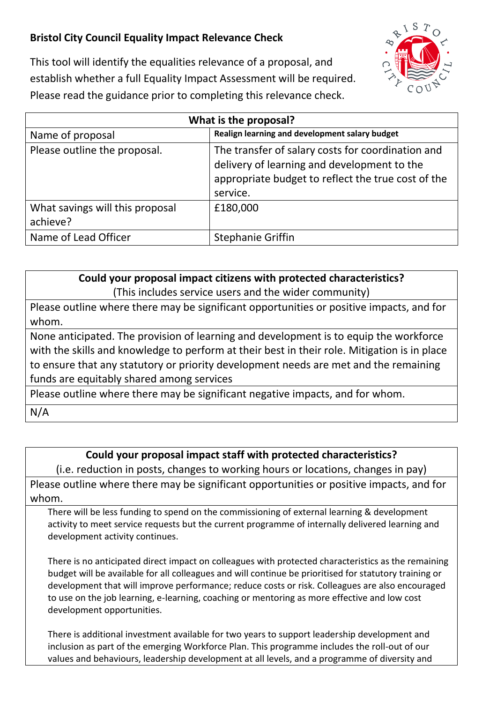## **Bristol City Council Equality Impact Relevance Check**



This tool will identify the equalities relevance of a proposal, and establish whether a full Equality Impact Assessment will be required. Please read the guidance prior to completing this relevance check.

| What is the proposal?                       |                                                                                                                                                                    |
|---------------------------------------------|--------------------------------------------------------------------------------------------------------------------------------------------------------------------|
| Name of proposal                            | Realign learning and development salary budget                                                                                                                     |
| Please outline the proposal.                | The transfer of salary costs for coordination and<br>delivery of learning and development to the<br>appropriate budget to reflect the true cost of the<br>service. |
| What savings will this proposal<br>achieve? | £180,000                                                                                                                                                           |
| Name of Lead Officer                        | <b>Stephanie Griffin</b>                                                                                                                                           |

## **Could your proposal impact citizens with protected characteristics?**

(This includes service users and the wider community)

Please outline where there may be significant opportunities or positive impacts, and for whom.

None anticipated. The provision of learning and development is to equip the workforce with the skills and knowledge to perform at their best in their role. Mitigation is in place to ensure that any statutory or priority development needs are met and the remaining funds are equitably shared among services

Please outline where there may be significant negative impacts, and for whom. N/A

## **Could your proposal impact staff with protected characteristics?**

(i.e. reduction in posts, changes to working hours or locations, changes in pay)

Please outline where there may be significant opportunities or positive impacts, and for whom.

There will be less funding to spend on the commissioning of external learning & development activity to meet service requests but the current programme of internally delivered learning and development activity continues.

There is no anticipated direct impact on colleagues with protected characteristics as the remaining budget will be available for all colleagues and will continue be prioritised for statutory training or development that will improve performance; reduce costs or risk. Colleagues are also encouraged to use on the job learning, e-learning, coaching or mentoring as more effective and low cost development opportunities.

There is additional investment available for two years to support leadership development and inclusion as part of the emerging Workforce Plan. This programme includes the roll-out of our values and behaviours, leadership development at all levels, and a programme of diversity and